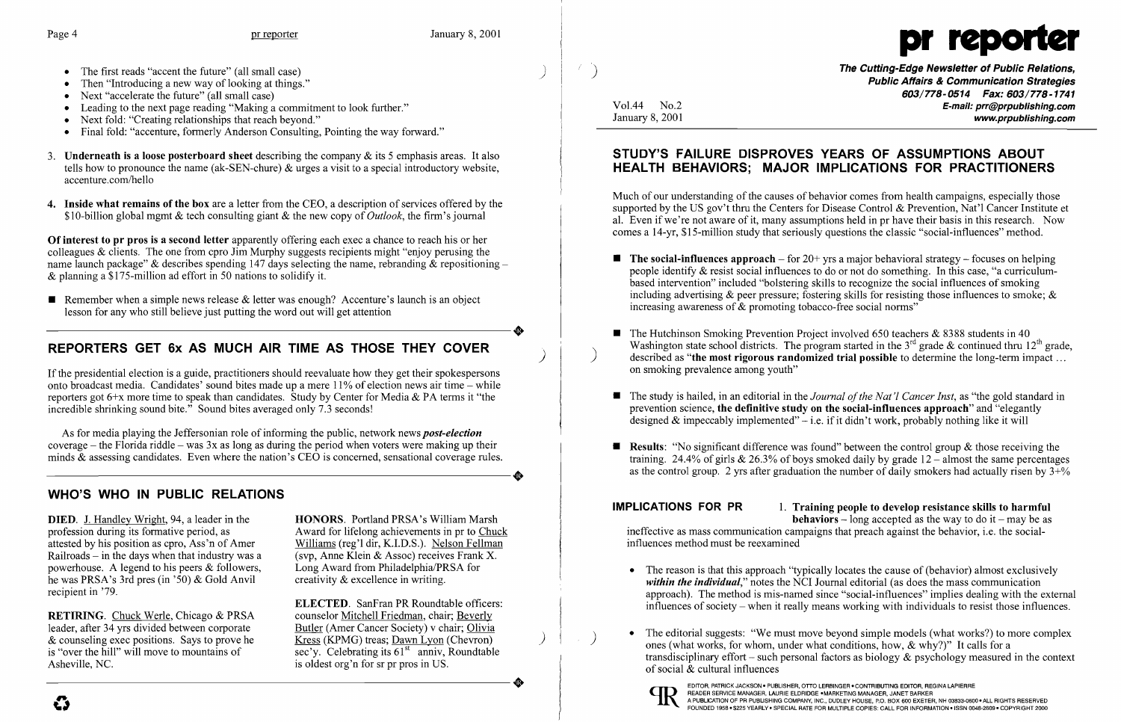

- The first reads "accent the future" (all small case)
- Then "Introducing a new way of looking at things."
- Next "accelerate the future" (all small case)
- Leading to the next page reading "Making a commitment to look further."
- Next fold: "Creating relationships that reach beyond."
- Final fold: "accenture, formerly Anderson Consulting, Pointing the way forward."
- 3. **Underneath is a loose posterboard sheet** describing the company  $\&$  its 5 emphasis areas. It also tells how to pronounce the name (ak-SEN-chure) & urges a visit to a special introductory website, accenture.com/hello
- 4. Inside what remains of the box are a letter from the CEO, a description of services offered by the \$lO-billion global mgmt & tech consulting giant & the new copy of *Outlook,* the firm's journal

Remember when a simple news release & letter was enough? Accenture's launch is an object lesson for any who still believe just putting the word out will get attention lesson for any who still believe just putting the word out will get attention

# REPORTERS GET 6x AS MUCH AIR TIME AS THOSE THEY COVER

As for media playing the Jeffersonian role of informing the public, network news *post-election*  coverage – the Florida riddle – was  $3x$  as long as during the period when voters were making up their minds & assessing candidates. Even where the nation's CEO is concerned, sensational coverage rules. coverage – the Florida riddle – was  $3x$  as long as during the period when voters were making up their<br>minds & assessing candidates. Even where the nation's CEO is concerned, sensational coverage rules.

Of interest to pr pros is a second letter apparently offering each exec a chance to reach his or her colleagues & clients. The one from cpro Jim Murphy suggests recipients might "enjoy perusing the name launch package" & describes spending 147 days selecting the name, rebranding & repositioning – & planning a \$175-million ad effort in 50 nations to solidify it.

> ELECTED. SanFran PR Roundtable officers: sec'y. Celebrating its  $61<sup>st</sup>$  anniv, Roundtable

If the presidential election is a guide, practitioners should reevaluate how they get their spokespersons onto broadcast media. Candidates' sound bites made up a mere 11% of election news air time - while reporters got  $6+x$  more time to speak than candidates. Study by Center for Media & PA terms it "the incredible shrinking sound bite." Sound bites averaged only 7.3 seconds!

**The Cutting-Edge Newsletter of Public Relations,** Public Affairs & Communication Strategies *603/778-0514 Fax: 603/778-1741*  Vo1.44 No.2 E-mail: prr@prpublishing.com January 8, 2001 www.prpublishing.com

 $\blacksquare$  The social-influences approach – for 20+ yrs a major behavioral strategy – focuses on helping people identify & resist social influences to do or not do something. In this case, "a curriculumbased intervention" included "bolstering skills to recognize the social influences of smoking including advertising  $\&$  peer pressure; fostering skills for resisting those influences to smoke;  $\&$ 

Washington state school districts. The program started in the  $3<sup>rd</sup>$  grade & continued thru  $12<sup>th</sup>$  grade, described as "the most rigorous randomized trial possible to determine the long-term impact ...

- increasing awareness of & promoting tobacco-free social norms"
- The Hutchinson Smoking Prevention Project involved 650 teachers  $& 8388$  students in 40 on smoking prevalence among youth"
- designed & impeccably implemented"  $-i.e.$  if it didn't work, probably nothing like it will
- 

# WHO'S WHO IN PUBLIC RELATIONS

**•** The study is hailed, in an editorial in the *Journal of the Nat'l Cancer Inst*, as "the gold standard in prevention science, the definitive study on the social-influences approach" and "elegantly

**• Results:** "No significant difference was found" between the control group  $\&$  those receiving the training. 24.4% of girls  $& 26.3\%$  of boys smoked daily by grade  $12$  – almost the same percentages as the control group. 2 yrs after graduation the number of daily smokers had actually risen by  $3+\frac{1}{2}$ 

DIED. 1. Handley Wright, 94, a leader in the HONORS. Portland PRSA's William Marsh profession during its formative period, as Award for lifelong achievements in pr to Chuck<br>attested by his position as cpro, Ass'n of Amer Williams (reg'l dir, K.I.D.S.). Nelson Fellman Railroads – in the days when that industry was a (svp, Anne Klein & Assoc) receives Frank X.<br>powerhouse. A legend to his peers & followers, Long Award from Philadelphia/PRSA for powerhouse. A legend to his peers  $&$  followers, he was PRSA's 3rd pres (in '50) & Gold Anvil creativity & excellence in writing. recipient in '79.

RETIRING. Chuck Werle, Chicago & PRSA counselor Mitchell Friedman, chair; Beverly leader, after 34 yrs divided between corporate Butler (Amer Cancer Society) v chair; Olivia leader, after 34 yrs divided between corporate Butler (Amer Cancer Society) v chair; Olivia<br>& counseling exec positions. Says to prove he Kress (KPMG) treas; Dawn Lyon (Chevron)  $&$  counseling exec positions. Says to prove he is "over the hill" will move to mountains of Asheville, NC. is oldest org'n for sr pr pros in US. is "over the hill" will move to mountains of<br>Asheville, NC.<br>**Asheville, NC.**<br> $\overline{\text{sec'}y}$ . Celebrating its  $61^{\text{st}}$  anniv, Roundtable<br>is oldest org'n for sr pr pros in US.

Williams (reg'l dir, K.I.D.S.). Nelson Fellman

**IMPLICATIONS FOR PR** 1. Training people to develop resistance skills to harmful **behaviors** – long accepted as the way to do it – may be as ineffective as mass communication campaigns that preach against the behavior, i.e. the social-

• The reason is that this approach "typically locates the cause of (behavior) almost exclusively *within the individual,"* notes the NCI Journal editorial (as does the mass communication approach). The method is mis-named since "social-influences" implies dealing with the external influences of society - when it really means working with individuals to resist those influences.

The editorial suggests: "We must move beyond simple models (what works?) to more complex ones (what works, for whom, under what conditions, how,  $\&$  why?)" It calls for a transdisciplinary effort – such personal factors as biology  $\&$  psychology measured in the context

e

### STUDY'S FAILURE DISPROVES YEARS OF ASSUMPTIONS ABOUT HEALTH BEHAVIORS; MAJOR IMPLICATIONS FOR PRACTITIONERS

Much of our understanding of the causes of behavior comes from health campaigns, especially those supported by the US gov't thru the Centers for Disease Control & Prevention, Nat'l Cancer Institute et al. Even if we're not aware of it, many assumptions held in pr have their basis in this research. Now comes a l4-yr, \$15-million study that seriously questions the classic "social-influences" method.

influences method must be reexamined

- 
- of social & cultural influences



EDITOR, PATRICK JACKSON. PUBLISHER, OTTO LERBINGER. CONTRIBUTING EDITOR, REGINA LAPIERRE